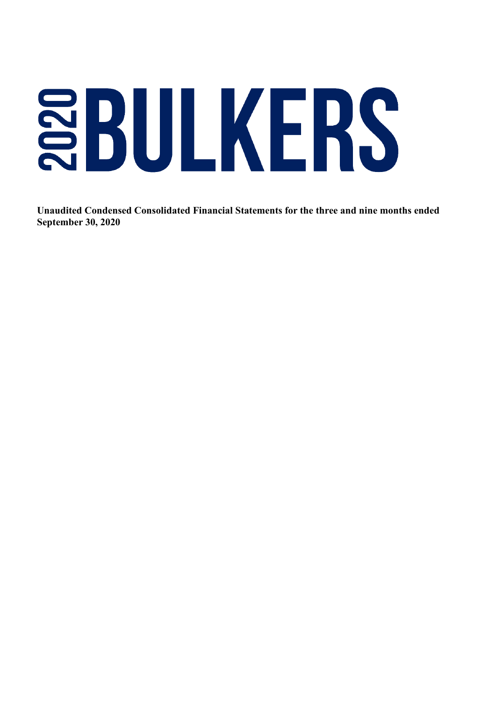# SBULKERS

 **Unaudited Condensed Consolidated Financial Statements for the three and nine months ended September 30, 2020**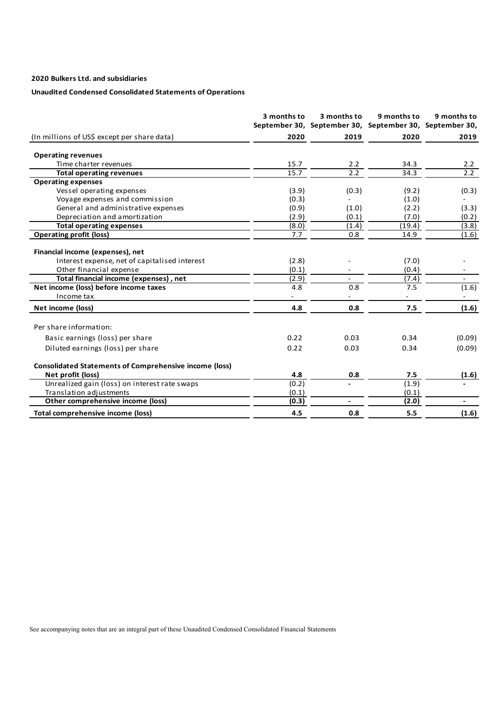# **Unaudited Condensed Consolidated Statements of Operations**

|                                                                                                              | 3 months to    | 3 months to    | 9 months to<br>September 30, September 30, September 30, September 30, | 9 months to              |
|--------------------------------------------------------------------------------------------------------------|----------------|----------------|------------------------------------------------------------------------|--------------------------|
| (In millions of US\$ except per share data)                                                                  | 2020           | 2019           | 2020                                                                   | 2019                     |
| <b>Operating revenues</b>                                                                                    |                |                |                                                                        |                          |
| Time charter revenues                                                                                        | 15.7           | 2.2            | 34.3                                                                   | 2.2                      |
| <b>Total operating revenues</b>                                                                              | 15.7           | 2.2            | 34.3                                                                   | 2.2                      |
| <b>Operating expenses</b>                                                                                    |                |                |                                                                        |                          |
| Vessel operating expenses                                                                                    | (3.9)          | (0.3)          | (9.2)                                                                  | (0.3)                    |
| Voyage expenses and commission                                                                               | (0.3)          |                | (1.0)                                                                  |                          |
| General and administrative expenses                                                                          | (0.9)          | (1.0)          | (2.2)                                                                  | (3.3)                    |
| Depreciation and amortization                                                                                | (2.9)          | (0.1)          | (7.0)                                                                  | (0.2)                    |
| <b>Total operating expenses</b>                                                                              | (8.0)          | (1.4)          | (19.4)                                                                 | (3.8)                    |
| <b>Operating profit (loss)</b>                                                                               | 7.7            | 0.8            | 14.9                                                                   | (1.6)                    |
| Financial income (expenses), net<br>Interest expense, net of capitalised interest<br>Other financial expense | (2.8)<br>(0.1) |                | (7.0)<br>(0.4)                                                         | $\sim$                   |
| Total financial income (expenses), net                                                                       | (2.9)          |                | (7.4)                                                                  |                          |
| Net income (loss) before income taxes<br>Income tax                                                          | 4.8            | 0.8            | 7.5                                                                    | (1.6)                    |
| Net income (loss)                                                                                            | 4.8            | 0.8            | 7.5                                                                    | (1.6)                    |
| Per share information:                                                                                       |                |                |                                                                        |                          |
| Basic earnings (loss) per share                                                                              | 0.22           | 0.03           | 0.34                                                                   | (0.09)                   |
| Diluted earnings (loss) per share                                                                            | 0.22           | 0.03           | 0.34                                                                   | (0.09)                   |
| <b>Consolidated Statements of Comprehensive income (loss)</b>                                                |                |                |                                                                        |                          |
| Net profit (loss)                                                                                            | 4.8            | 0.8            | 7.5                                                                    | (1.6)                    |
| Unrealized gain (loss) on interest rate swaps                                                                | (0.2)          |                | (1.9)                                                                  |                          |
| Translation adjustments                                                                                      | (0.1)          |                | (0.1)                                                                  |                          |
| Other comprehensive income (loss)                                                                            | (0.3)          | $\blacksquare$ | (2.0)                                                                  | $\overline{\phantom{0}}$ |
| Total comprehensive income (loss)                                                                            | 4.5            | 0.8            | 5.5                                                                    | (1.6)                    |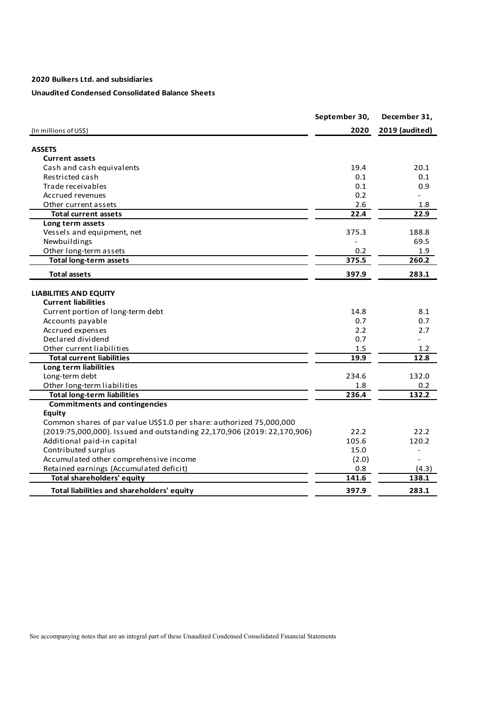# **Unaudited Condensed Consolidated Balance Sheets**

|                                                                         | September 30, | December 31,   |
|-------------------------------------------------------------------------|---------------|----------------|
| (In millions of US\$)                                                   | 2020          | 2019 (audited) |
| <b>ASSETS</b>                                                           |               |                |
| <b>Current assets</b>                                                   |               |                |
| Cash and cash equivalents                                               | 19.4          | 20.1           |
| Restricted cash                                                         | 0.1           | 0.1            |
| Trade receivables                                                       | 0.1           | 0.9            |
| Accrued revenues                                                        | 0.2           |                |
| Other current assets                                                    | 2.6           | 1.8            |
| <b>Total current assets</b>                                             | 22.4          | 22.9           |
| Long term assets                                                        |               |                |
| Vessels and equipment, net                                              | 375.3         | 188.8          |
| Newbuildings                                                            |               | 69.5           |
| Other long-term assets                                                  | 0.2           | 1.9            |
| <b>Total long-term assets</b>                                           | 375.5         | 260.2          |
| <b>Total assets</b>                                                     | 397.9         | 283.1          |
|                                                                         |               |                |
| <b>LIABILITIES AND EQUITY</b>                                           |               |                |
| <b>Current liabilities</b>                                              |               |                |
| Current portion of long-term debt                                       | 14.8          | 8.1            |
| Accounts payable                                                        | 0.7           | 0.7            |
| Accrued expenses                                                        | 2.2           | 2.7            |
| Declared dividend                                                       | 0.7           |                |
| Other current liabilities                                               | 1.5           | 1.2            |
| <b>Total current liabilities</b>                                        | 19.9          | 12.8           |
| Long term liabilities                                                   |               |                |
| Long-term debt                                                          | 234.6         | 132.0          |
| Other long-term liabilities                                             | 1.8           | 0.2            |
| <b>Total long-term liabilities</b>                                      | 236.4         | 132.2          |
| <b>Commitments and contingencies</b>                                    |               |                |
| <b>Equity</b>                                                           |               |                |
| Common shares of par value US\$1.0 per share: authorized 75,000,000     |               |                |
| (2019:75,000,000). Issued and outstanding 22,170,906 (2019: 22,170,906) | 22.2          | 22.2           |
| Additional paid-in capital                                              | 105.6         | 120.2          |
| Contributed surplus                                                     | 15.0          | $\overline{a}$ |
| Accumulated other comprehensive income                                  | (2.0)         |                |
| Retained earnings (Accumulated deficit)                                 | 0.8           | (4.3)          |
| <b>Total shareholders' equity</b>                                       | 141.6         | 138.1          |
| Total liabilities and shareholders' equity                              | 397.9         | 283.1          |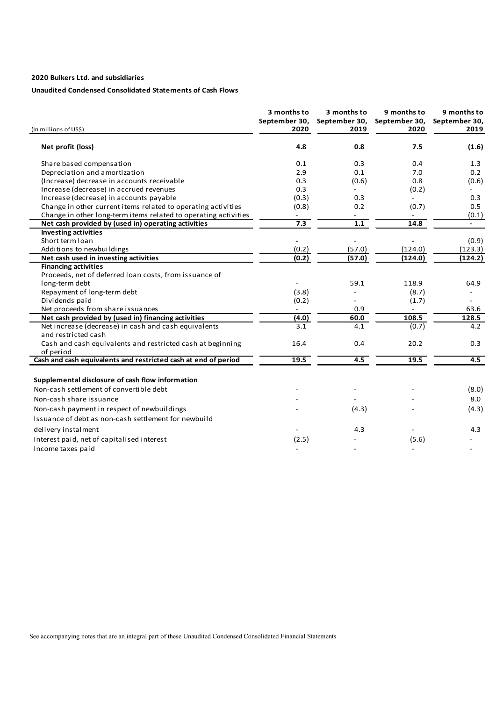# **Unaudited Condensed Consolidated Statements of Cash Flows**

| (In millions of US\$)                                                       | 3 months to<br>September 30,<br>2020 | 3 months to<br>September 30,<br>2019 | 9 months to<br>September 30,<br>2020 | 9 months to<br>September 30,<br>2019 |
|-----------------------------------------------------------------------------|--------------------------------------|--------------------------------------|--------------------------------------|--------------------------------------|
| Net profit (loss)                                                           | 4.8                                  | 0.8                                  | 7.5                                  | (1.6)                                |
| Share based compensation                                                    | 0.1                                  | 0.3                                  | 0.4                                  | 1.3                                  |
| Depreciation and amortization                                               | 2.9                                  | 0.1                                  | 7.0                                  | 0.2                                  |
| (Increase) decrease in accounts receivable                                  | 0.3                                  | (0.6)                                | 0.8                                  | (0.6)                                |
| Increase (decrease) in accrued revenues                                     | 0.3                                  |                                      | (0.2)                                |                                      |
| Increase (decrease) in accounts payable                                     | (0.3)                                | 0.3                                  |                                      | 0.3                                  |
| Change in other current items related to operating activities               | (0.8)                                | 0.2                                  | (0.7)                                | 0.5                                  |
| Change in other long-term items related to operating activities             |                                      | $\overline{\phantom{a}}$             |                                      | (0.1)                                |
| Net cash provided by (used in) operating activities                         | 7.3                                  | $1.1$                                | 14.8                                 |                                      |
| <b>Investing activities</b>                                                 |                                      |                                      |                                      |                                      |
| Short term Ioan                                                             |                                      |                                      |                                      | (0.9)                                |
| Additions to newbuildings                                                   | (0.2)                                | (57.0)                               | (124.0)                              | (123.3)                              |
| Net cash used in investing activities                                       | (0.2)                                | (57.0)                               | (124.0)                              | (124.2)                              |
| <b>Financing activities</b>                                                 |                                      |                                      |                                      |                                      |
| Proceeds, net of deferred loan costs, from issuance of                      |                                      |                                      |                                      |                                      |
| long-term debt                                                              |                                      | 59.1                                 | 118.9                                | 64.9                                 |
| Repayment of long-term debt                                                 | (3.8)                                |                                      | (8.7)                                |                                      |
| Dividends paid                                                              | (0.2)                                |                                      | (1.7)                                |                                      |
| Net proceeds from share issuances                                           |                                      | 0.9                                  |                                      | 63.6                                 |
| Net cash provided by (used in) financing activities                         | (4.0)                                | 60.0                                 | 108.5                                | 128.5                                |
| Net increase (decrease) in cash and cash equivalents<br>and restricted cash | 3.1                                  | 4.1                                  | (0.7)                                | 4.2                                  |
| Cash and cash equivalents and restricted cash at beginning                  | 16.4                                 | 0.4                                  | 20.2                                 | 0.3                                  |
| of period                                                                   |                                      |                                      |                                      |                                      |
| Cash and cash equivalents and restricted cash at end of period              | 19.5                                 | 4.5                                  | 19.5                                 | 4.5                                  |
| Supplemental disclosure of cash flow information                            |                                      |                                      |                                      |                                      |
| Non-cash settlement of convertible debt                                     |                                      |                                      |                                      | (8.0)                                |
| Non-cash share issuance                                                     |                                      |                                      |                                      | 8.0                                  |
|                                                                             |                                      | (4.3)                                |                                      | (4.3)                                |
| Non-cash payment in respect of newbuildings                                 |                                      |                                      |                                      |                                      |
| Issuance of debt as non-cash settlement for newbuild                        |                                      |                                      |                                      |                                      |
| delivery instalment                                                         |                                      | 4.3                                  |                                      | 4.3                                  |
| Interest paid, net of capitalised interest                                  | (2.5)                                |                                      | (5.6)                                |                                      |
| Income taxes paid                                                           |                                      |                                      |                                      |                                      |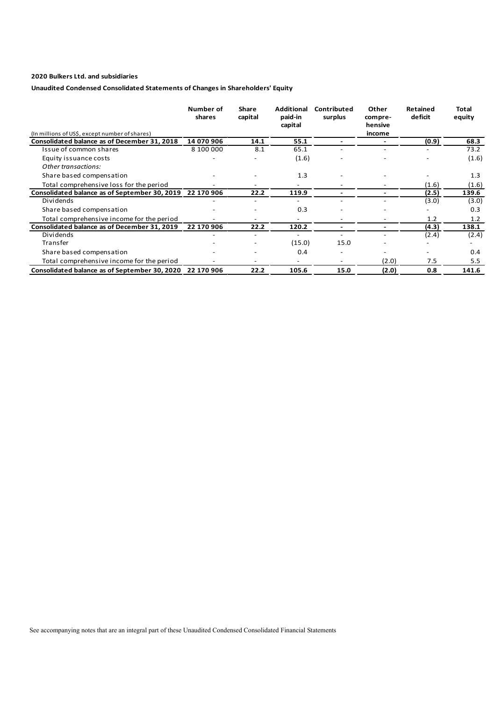# **Unaudited Condensed Consolidated Statements of Changes in Shareholders' Equity**

|                                                          | Number of<br>shares | Share<br>capital | Additional<br>paid-in<br>capital | Contributed<br>surplus | Other<br>compre-<br>hensive | <b>Retained</b><br>deficit | Total<br>equity |
|----------------------------------------------------------|---------------------|------------------|----------------------------------|------------------------|-----------------------------|----------------------------|-----------------|
| (In millions of US\$, except number of shares)           |                     |                  |                                  |                        | income                      |                            |                 |
| Consolidated balance as of December 31, 2018             | 14 070 906          | 14.1             | 55.1                             |                        |                             | (0.9)                      | 68.3            |
| Issue of common shares                                   | 8 100 000           | 8.1              | 65.1                             |                        |                             |                            | 73.2            |
| Equity issuance costs                                    |                     |                  | (1.6)                            |                        |                             |                            | (1.6)           |
| Other transactions:                                      |                     |                  |                                  |                        |                             |                            |                 |
| Share based compensation                                 |                     |                  | 1.3                              |                        |                             |                            | 1.3             |
| Total comprehensive loss for the period                  |                     |                  |                                  |                        |                             | (1.6)                      | (1.6)           |
| Consolidated balance as of September 30, 2019 22 170 906 |                     | 22.2             | 119.9                            |                        |                             | (2.5)                      | 139.6           |
| Dividends                                                |                     |                  |                                  |                        |                             | (3.0)                      | (3.0)           |
| Share based compensation                                 |                     |                  | 0.3                              |                        |                             |                            | 0.3             |
| Total comprehensive income for the period                |                     |                  |                                  |                        |                             | 1.2                        | 1.2             |
| Consolidated balance as of December 31, 2019             | 22 170 906          | 22.2             | 120.2                            |                        |                             | (4.3)                      | 138.1           |
| Dividends                                                |                     |                  |                                  |                        |                             | (2.4)                      | (2.4)           |
| Transfer                                                 |                     |                  | (15.0)                           | 15.0                   |                             |                            |                 |
| Share based compensation                                 |                     |                  | 0.4                              |                        |                             |                            | 0.4             |
| Total comprehensive income for the period                |                     |                  |                                  |                        | (2.0)                       | 7.5                        | 5.5             |
| Consolidated balance as of September 30, 2020            | 22 170 906          | 22.2             | 105.6                            | 15.0                   | (2.0)                       | 0.8                        | 141.6           |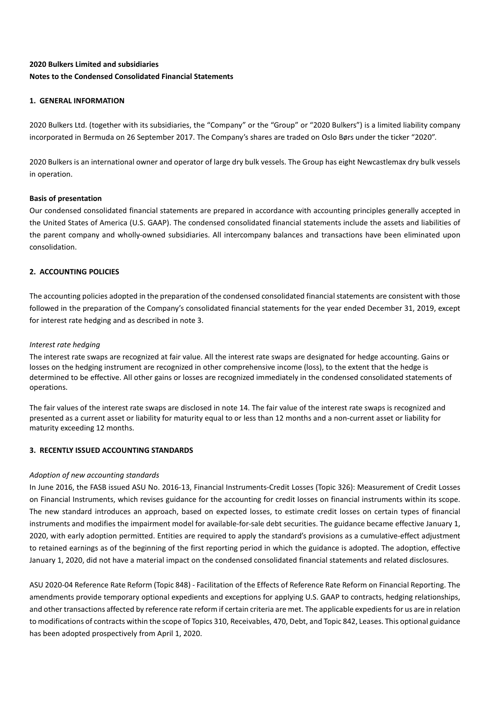# **2020 Bulkers Limited and subsidiaries Notes to the Condensed Consolidated Financial Statements**

# **1. GENERAL INFORMATION**

2020 Bulkers Ltd. (together with its subsidiaries, the "Company" or the "Group" or "2020 Bulkers") is a limited liability company incorporated in Bermuda on 26 September 2017. The Company's shares are traded on Oslo Børs under the ticker "2020".

2020 Bulkers is an international owner and operator of large dry bulk vessels. The Group has eight Newcastlemax dry bulk vessels in operation.

## **Basis of presentation**

Our condensed consolidated financial statements are prepared in accordance with accounting principles generally accepted in the United States of America (U.S. GAAP). The condensed consolidated financial statements include the assets and liabilities of the parent company and wholly-owned subsidiaries. All intercompany balances and transactions have been eliminated upon consolidation.

# **2. ACCOUNTING POLICIES**

The accounting policies adopted in the preparation of the condensed consolidated financial statements are consistent with those followed in the preparation of the Company's consolidated financial statements for the year ended December 31, 2019, except for interest rate hedging and as described in note 3.

## *Interest rate hedging*

The interest rate swaps are recognized at fair value. All the interest rate swaps are designated for hedge accounting. Gains or losses on the hedging instrument are recognized in other comprehensive income (loss), to the extent that the hedge is determined to be effective. All other gains or losses are recognized immediately in the condensed consolidated statements of operations.

The fair values of the interest rate swaps are disclosed in note 14. The fair value of the interest rate swaps is recognized and presented as a current asset or liability for maturity equal to or less than 12 months and a non-current asset or liability for maturity exceeding 12 months.

## **3. RECENTLY ISSUED ACCOUNTING STANDARDS**

## *Adoption of new accounting standards*

In June 2016, the FASB issued ASU No. 2016-13, Financial Instruments-Credit Losses (Topic 326): Measurement of Credit Losses on Financial Instruments, which revises guidance for the accounting for credit losses on financial instruments within its scope. The new standard introduces an approach, based on expected losses, to estimate credit losses on certain types of financial instruments and modifies the impairment model for available-for-sale debt securities. The guidance became effective January 1, 2020, with early adoption permitted. Entities are required to apply the standard's provisions as a cumulative-effect adjustment to retained earnings as of the beginning of the first reporting period in which the guidance is adopted. The adoption, effective January 1, 2020, did not have a material impact on the condensed consolidated financial statements and related disclosures.

ASU 2020-04 Reference Rate Reform (Topic 848) - Facilitation of the Effects of Reference Rate Reform on Financial Reporting. The amendments provide temporary optional expedients and exceptions for applying U.S. GAAP to contracts, hedging relationships, and other transactions affected by reference rate reform if certain criteria are met. The applicable expedients for us are in relation to modifications of contracts within the scope of Topics 310, Receivables, 470, Debt, and Topic 842, Leases. This optional guidance has been adopted prospectively from April 1, 2020.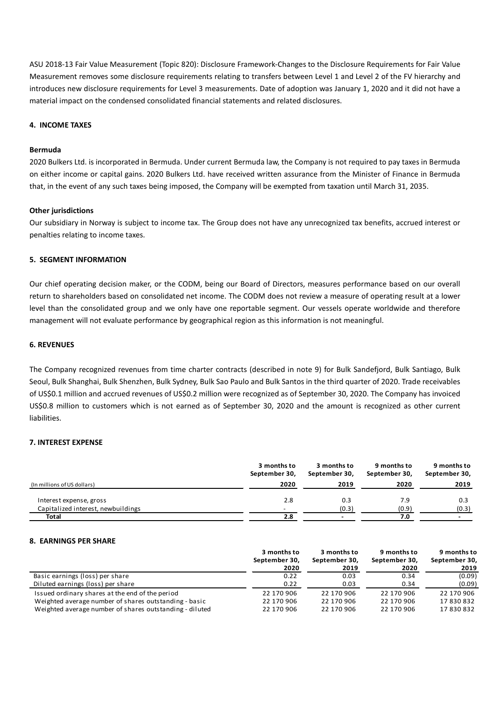ASU 2018-13 Fair Value Measurement (Topic 820): Disclosure Framework-Changes to the Disclosure Requirements for Fair Value Measurement removes some disclosure requirements relating to transfers between Level 1 and Level 2 of the FV hierarchy and introduces new disclosure requirements for Level 3 measurements. Date of adoption was January 1, 2020 and it did not have a material impact on the condensed consolidated financial statements and related disclosures.

## **4. INCOME TAXES**

## **Bermuda**

2020 Bulkers Ltd. is incorporated in Bermuda. Under current Bermuda law, the Company is not required to pay taxes in Bermuda on either income or capital gains. 2020 Bulkers Ltd. have received written assurance from the Minister of Finance in Bermuda that, in the event of any such taxes being imposed, the Company will be exempted from taxation until March 31, 2035.

## **Other jurisdictions**

Our subsidiary in Norway is subject to income tax. The Group does not have any unrecognized tax benefits, accrued interest or penalties relating to income taxes.

## **5. SEGMENT INFORMATION**

Our chief operating decision maker, or the CODM, being our Board of Directors, measures performance based on our overall return to shareholders based on consolidated net income. The CODM does not review a measure of operating result at a lower level than the consolidated group and we only have one reportable segment. Our vessels operate worldwide and therefore management will not evaluate performance by geographical region as this information is not meaningful.

## **6. REVENUES**

The Company recognized revenues from time charter contracts (described in note 9) for Bulk Sandefjord, Bulk Santiago, Bulk Seoul, Bulk Shanghai, Bulk Shenzhen, Bulk Sydney, Bulk Sao Paulo and Bulk Santos in the third quarter of 2020. Trade receivables of US\$0.1 million and accrued revenues of US\$0.2 million were recognized as of September 30, 2020. The Company has invoiced US\$0.8 million to customers which is not earned as of September 30, 2020 and the amount is recognized as other current liabilities.

## **7. INTEREST EXPENSE**

|                                    | 3 months to<br>September 30, | 3 months to<br>September 30, | 9 months to<br>September 30, | 9 months to<br>September 30, |
|------------------------------------|------------------------------|------------------------------|------------------------------|------------------------------|
| (In millions of US dollars)        | 2020                         | 2019                         | 2020                         | 2019                         |
| Interest expense, gross            | 2.8                          | 0.3                          | 7.9                          | 0.3                          |
| Capitalized interest, newbuildings |                              | (0.3)                        | (0.9)                        | (0.3)                        |
| Total                              | 2.8                          | $\overline{\phantom{0}}$     | 7.0                          | $\overline{\phantom{0}}$     |

#### **8. EARNINGS PER SHARE**

|                                                         | 3 months to   | 3 months to   | 9 months to   | 9 months to   |
|---------------------------------------------------------|---------------|---------------|---------------|---------------|
|                                                         | September 30, | September 30, | September 30, | September 30, |
|                                                         | 2020          | 2019          | 2020          | 2019          |
| Basic earnings (loss) per share                         | 0.22          | 0.03          | 0.34          | (0.09)        |
| Diluted earnings (loss) per share                       | 0.22          | 0.03          | 0.34          | (0.09)        |
| Issued ordinary shares at the end of the period         | 22 170 906    | 22 170 906    | 22 170 906    | 22 170 906    |
| Weighted average number of shares outstanding - basic   | 22 170 906    | 22 170 906    | 22 170 906    | 17830832      |
| Weighted average number of shares outstanding - diluted | 22 170 906    | 22 170 906    | 22 170 906    | 17830832      |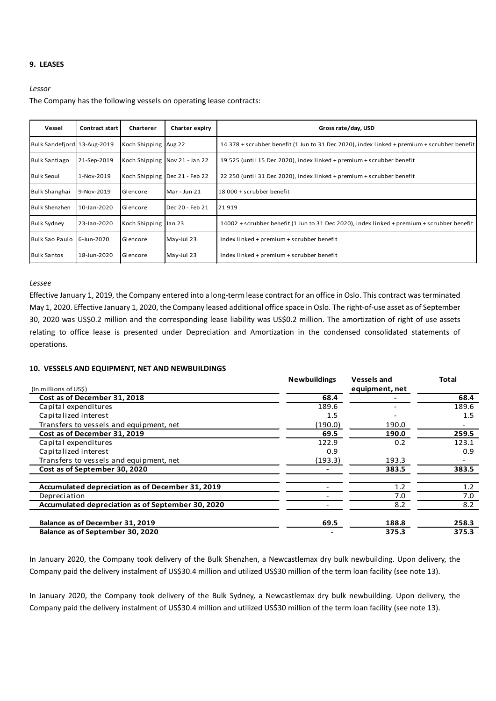## **9. LEASES**

#### *Lessor*

The Company has the following vessels on operating lease contracts:

| Vessel                      | Contract start | Charterer            | Charter expiry                | Gross rate/day, USD                                                                         |
|-----------------------------|----------------|----------------------|-------------------------------|---------------------------------------------------------------------------------------------|
| Bulk Sandefjord 13-Aug-2019 |                | Koch Shipping Aug 22 |                               | 14 378 + scrubber benefit (1 Jun to 31 Dec 2020), index linked + premium + scrubber benefit |
| <b>Bulk Santiago</b>        | 21-Sep-2019    |                      | Koch Shipping Nov 21 - Jan 22 | 19 525 (until 15 Dec 2020), index linked + premium + scrubber benefit                       |
| <b>Bulk Seoul</b>           | 1-Nov-2019     |                      | Koch Shipping Dec 21 - Feb 22 | 22 250 (until 31 Dec 2020), index linked + premium + scrubber benefit                       |
| Bulk Shanghai               | 9-Nov-2019     | Glencore             | Mar - Jun 21                  | l 18 000 + scrubber benefit                                                                 |
| <b>Bulk Shenzhen</b>        | 10-Jan-2020    | Glencore             | Dec 20 - Feb 21               | 21919                                                                                       |
| <b>Bulk Sydney</b>          | 23-Jan-2020    | Koch Shipping Jan 23 |                               | 14002 + scrubber benefit (1 Jun to 31 Dec 2020), index linked + premium + scrubber benefit  |
| <b>Bulk Sao Paulo</b>       | 6-Jun-2020     | Glencore             | May-Jul 23                    | Index linked + premium + scrubber benefit                                                   |
| <b>Bulk Santos</b>          | 18-Jun-2020    | Glencore             | May-Jul 23                    | Index linked + premium + scrubber benefit                                                   |

#### *Lessee*

Effective January 1, 2019, the Company entered into a long-term lease contract for an office in Oslo. This contract was terminated May 1, 2020. Effective January 1, 2020, the Company leased additional office space in Oslo. The right-of-use asset as of September 30, 2020 was US\$0.2 million and the corresponding lease liability was US\$0.2 million. The amortization of right of use assets relating to office lease is presented under Depreciation and Amortization in the condensed consolidated statements of operations.

## **10. VESSELS AND EQUIPMENT, NET AND NEWBUILDINGS**

|                                                   | <b>Newbuildings</b> | <b>Vessels and</b> | Total |
|---------------------------------------------------|---------------------|--------------------|-------|
| (In millions of US\$)                             |                     | equipment, net     |       |
| Cost as of December 31, 2018                      | 68.4                |                    | 68.4  |
| Capital expenditures                              | 189.6               |                    | 189.6 |
| Capitalized interest                              | 1.5                 |                    | 1.5   |
| Transfers to vessels and equipment, net           | (190.0)             | 190.0              |       |
| Cost as of December 31, 2019                      | 69.5                | 190.0              | 259.5 |
| Capital expenditures                              | 122.9               | 0.2                | 123.1 |
| Capitalized interest                              | 0.9                 |                    | 0.9   |
| Transfers to vessels and equipment, net           | (193.3)             | 193.3              |       |
| Cost as of September 30, 2020                     |                     | 383.5              | 383.5 |
| Accumulated depreciation as of December 31, 2019  |                     | 1.2                | 1.2   |
| Depreciation                                      |                     | 7.0                | 7.0   |
| Accumulated depreciation as of September 30, 2020 |                     | 8.2                | 8.2   |
| Balance as of December 31, 2019                   | 69.5                | 188.8              | 258.3 |
| Balance as of September 30, 2020                  |                     | 375.3              | 375.3 |

In January 2020, the Company took delivery of the Bulk Shenzhen, a Newcastlemax dry bulk newbuilding. Upon delivery, the Company paid the delivery instalment of US\$30.4 million and utilized US\$30 million of the term loan facility (see note 13).

In January 2020, the Company took delivery of the Bulk Sydney, a Newcastlemax dry bulk newbuilding. Upon delivery, the Company paid the delivery instalment of US\$30.4 million and utilized US\$30 million of the term loan facility (see note 13).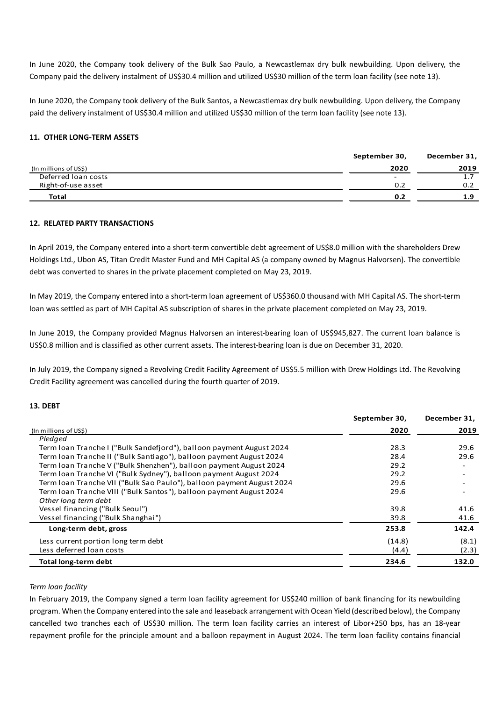In June 2020, the Company took delivery of the Bulk Sao Paulo, a Newcastlemax dry bulk newbuilding. Upon delivery, the Company paid the delivery instalment of US\$30.4 million and utilized US\$30 million of the term loan facility (see note 13).

In June 2020, the Company took delivery of the Bulk Santos, a Newcastlemax dry bulk newbuilding. Upon delivery, the Company paid the delivery instalment of US\$30.4 million and utilized US\$30 million of the term loan facility (see note 13).

## **11. OTHER LONG-TERM ASSETS**

|                       | September 30, | December 31, |
|-----------------------|---------------|--------------|
| (In millions of US\$) | 2020          | 2019         |
| Deferred loan costs   | -             |              |
| Right-of-use asset    | 0.2           | 0.2          |
| <b>Total</b>          | 0.2           | 1.9          |

## **12. RELATED PARTY TRANSACTIONS**

In April 2019, the Company entered into a short-term convertible debt agreement of US\$8.0 million with the shareholders Drew Holdings Ltd., Ubon AS, Titan Credit Master Fund and MH Capital AS (a company owned by Magnus Halvorsen). The convertible debt was converted to shares in the private placement completed on May 23, 2019.

In May 2019, the Company entered into a short-term loan agreement of US\$360.0 thousand with MH Capital AS. The short-term loan was settled as part of MH Capital AS subscription of shares in the private placement completed on May 23, 2019.

In June 2019, the Company provided Magnus Halvorsen an interest-bearing loan of US\$945,827. The current loan balance is US\$0.8 million and is classified as other current assets. The interest-bearing loan is due on December 31, 2020.

In July 2019, the Company signed a Revolving Credit Facility Agreement of US\$5.5 million with Drew Holdings Ltd. The Revolving Credit Facility agreement was cancelled during the fourth quarter of 2019.

## **13. DEBT**

|                                                                       | September 30, | December 31, |
|-----------------------------------------------------------------------|---------------|--------------|
| (In millions of US\$)                                                 | 2020          | 2019         |
| Pledged                                                               |               |              |
| Term Ioan Tranche I ("Bulk Sandefjord"), balloon payment August 2024  | 28.3          | 29.6         |
| Term Ioan Tranche II ("Bulk Santiago"), balloon payment August 2024   | 28.4          | 29.6         |
| Term Ioan Tranche V ("Bulk Shenzhen"), balloon payment August 2024    | 29.2          |              |
| Term Joan Tranche VI ("Bulk Sydney"), balloon payment August 2024     | 29.2          |              |
| Term Ioan Tranche VII ("Bulk Sao Paulo"), balloon payment August 2024 | 29.6          |              |
| Term Ioan Tranche VIII ("Bulk Santos"), balloon payment August 2024   | 29.6          |              |
| Other long term debt                                                  |               |              |
| Vessel financing ("Bulk Seoul")                                       | 39.8          | 41.6         |
| Vessel financing ("Bulk Shanghai")                                    | 39.8          | 41.6         |
| Long-term debt, gross                                                 | 253.8         | 142.4        |
| Less current portion long term debt                                   | (14.8)        | (8.1)        |
| Less deferred loan costs                                              | (4.4)         | (2.3)        |
| Total long-term debt                                                  | 234.6         | 132.0        |

## *Term loan facility*

In February 2019, the Company signed a term loan facility agreement for US\$240 million of bank financing for its newbuilding program. When the Company entered into the sale and leaseback arrangement with Ocean Yield (described below), the Company cancelled two tranches each of US\$30 million. The term loan facility carries an interest of Libor+250 bps, has an 18-year repayment profile for the principle amount and a balloon repayment in August 2024. The term loan facility contains financial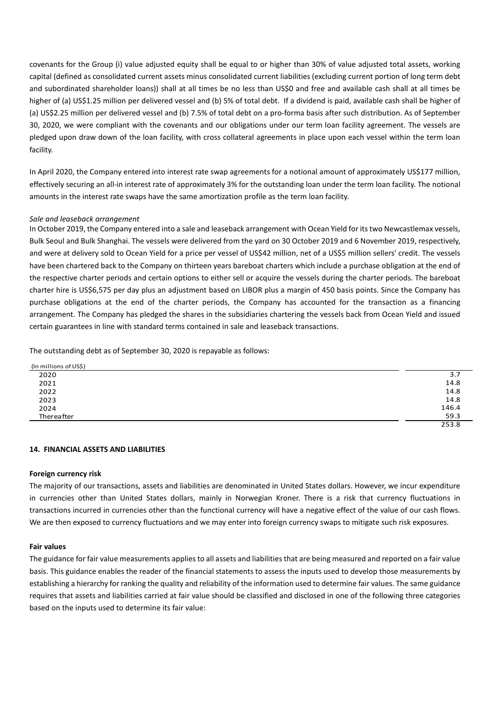covenants for the Group (i) value adjusted equity shall be equal to or higher than 30% of value adjusted total assets, working capital (defined as consolidated current assets minus consolidated current liabilities (excluding current portion of long term debt and subordinated shareholder loans)) shall at all times be no less than US\$0 and free and available cash shall at all times be higher of (a) US\$1.25 million per delivered vessel and (b) 5% of total debt. If a dividend is paid, available cash shall be higher of (a) US\$2.25 million per delivered vessel and (b) 7.5% of total debt on a pro-forma basis after such distribution. As of September 30, 2020, we were compliant with the covenants and our obligations under our term loan facility agreement. The vessels are pledged upon draw down of the loan facility, with cross collateral agreements in place upon each vessel within the term loan facility.

In April 2020, the Company entered into interest rate swap agreements for a notional amount of approximately US\$177 million, effectively securing an all-in interest rate of approximately 3% for the outstanding loan under the term loan facility. The notional amounts in the interest rate swaps have the same amortization profile as the term loan facility.

# *Sale and leaseback arrangement*

In October 2019, the Company entered into a sale and leaseback arrangement with Ocean Yield for its two Newcastlemax vessels, Bulk Seoul and Bulk Shanghai. The vessels were delivered from the yard on 30 October 2019 and 6 November 2019, respectively, and were at delivery sold to Ocean Yield for a price per vessel of US\$42 million, net of a US\$5 million sellers' credit. The vessels have been chartered back to the Company on thirteen years bareboat charters which include a purchase obligation at the end of the respective charter periods and certain options to either sell or acquire the vessels during the charter periods. The bareboat charter hire is US\$6,575 per day plus an adjustment based on LIBOR plus a margin of 450 basis points. Since the Company has purchase obligations at the end of the charter periods, the Company has accounted for the transaction as a financing arrangement. The Company has pledged the shares in the subsidiaries chartering the vessels back from Ocean Yield and issued certain guarantees in line with standard terms contained in sale and leaseback transactions.

The outstanding debt as of September 30, 2020 is repayable as follows:

| (In millions of US\$) |       |
|-----------------------|-------|
| 2020                  | 3.7   |
| 2021                  | 14.8  |
| 2022                  | 14.8  |
| 2023                  | 14.8  |
| 2024                  | 146.4 |
| Thereafter            | 59.3  |
|                       | 253.8 |

## **14. FINANCIAL ASSETS AND LIABILITIES**

## **Foreign currency risk**

The majority of our transactions, assets and liabilities are denominated in United States dollars. However, we incur expenditure in currencies other than United States dollars, mainly in Norwegian Kroner. There is a risk that currency fluctuations in transactions incurred in currencies other than the functional currency will have a negative effect of the value of our cash flows. We are then exposed to currency fluctuations and we may enter into foreign currency swaps to mitigate such risk exposures.

#### **Fair values**

The guidance for fair value measurements applies to all assets and liabilities that are being measured and reported on a fair value basis. This guidance enables the reader of the financial statements to assess the inputs used to develop those measurements by establishing a hierarchy for ranking the quality and reliability of the information used to determine fair values. The same guidance requires that assets and liabilities carried at fair value should be classified and disclosed in one of the following three categories based on the inputs used to determine its fair value: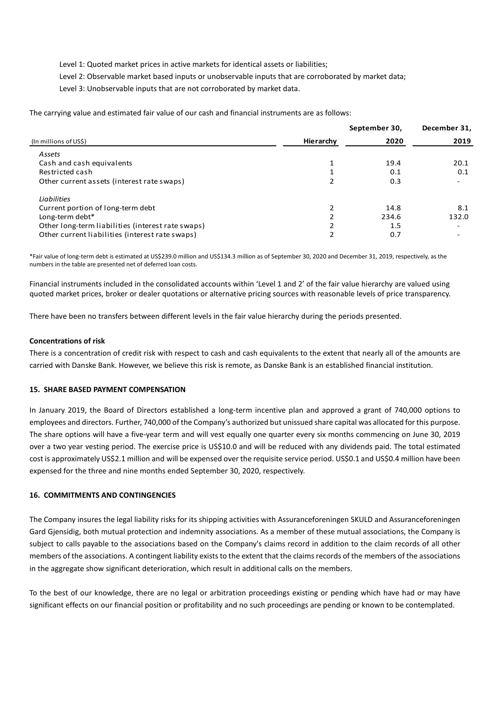Level 1: Quoted market prices in active markets for identical assets or liabilities;

Level 2: Observable market based inputs or unobservable inputs that are corroborated by market data;

Level 3: Unobservable inputs that are not corroborated by market data.

The carrying value and estimated fair value of our cash and financial instruments are as follows:

|           | September 30, | December 31,             |
|-----------|---------------|--------------------------|
| Hierarchy | 2020          | 2019                     |
|           |               |                          |
|           | 19.4          | 20.1                     |
|           | 0.1           | 0.1                      |
|           | 0.3           |                          |
|           |               |                          |
|           | 14.8          | 8.1                      |
|           | 234.6         | 132.0                    |
|           | 1.5           | $\overline{\phantom{0}}$ |
|           | 0.7           | $\overline{\phantom{a}}$ |
|           |               |                          |

\*Fair value of long-term debt is estimated at US\$239.0 million and US\$134.3 million as of September 30, 2020 and December 31, 2019, respectively, as the numbers in the table are presented net of deferred loan costs.

Financial instruments included in the consolidated accounts within 'Level 1 and 2' of the fair value hierarchy are valued using quoted market prices, broker or dealer quotations or alternative pricing sources with reasonable levels of price transparency.

There have been no transfers between different levels in the fair value hierarchy during the periods presented.

## **Concentrations of risk**

There is a concentration of credit risk with respect to cash and cash equivalents to the extent that nearly all of the amounts are carried with Danske Bank. However, we believe this risk is remote, as Danske Bank is an established financial institution.

#### **15. SHARE BASED PAYMENT COMPENSATION**

In January 2019, the Board of Directors established a long-term incentive plan and approved a grant of 740,000 options to employees and directors. Further, 740,000 of the Company's authorized but unissued share capital was allocated for this purpose. The share options will have a five-year term and will vest equally one quarter every six months commencing on June 30, 2019 over a two year vesting period. The exercise price is US\$10.0 and will be reduced with any dividends paid. The total estimated cost is approximately US\$2.1 million and will be expensed over the requisite service period. US\$0.1 and US\$0.4 million have been expensed for the three and nine months ended September 30, 2020, respectively.

## **16. COMMITMENTS AND CONTINGENCIES**

The Company insures the legal liability risks for its shipping activities with Assuranceforeningen SKULD and Assuranceforeningen Gard Gjensidig, both mutual protection and indemnity associations. As a member of these mutual associations, the Company is subject to calls payable to the associations based on the Company's claims record in addition to the claim records of all other members of the associations. A contingent liability exists to the extent that the claims records of the members of the associations in the aggregate show significant deterioration, which result in additional calls on the members.

To the best of our knowledge, there are no legal or arbitration proceedings existing or pending which have had or may have significant effects on our financial position or profitability and no such proceedings are pending or known to be contemplated.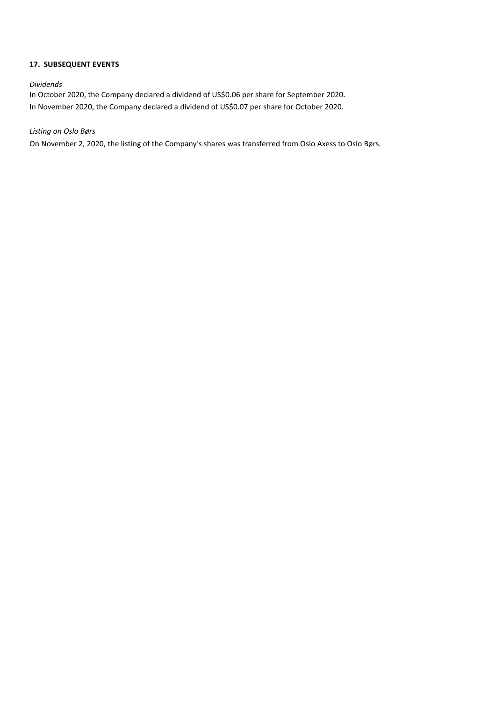# **17. SUBSEQUENT EVENTS**

## *Dividends*

In October 2020, the Company declared a dividend of US\$0.06 per share for September 2020. In November 2020, the Company declared a dividend of US\$0.07 per share for October 2020.

*Listing on Oslo Børs*

On November 2, 2020, the listing of the Company's shares was transferred from Oslo Axess to Oslo Børs.